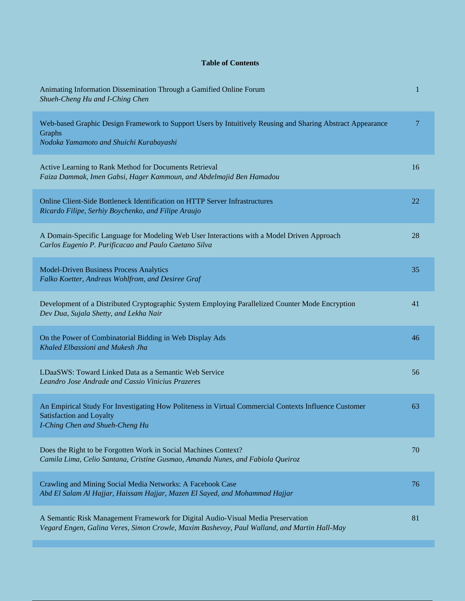## **Table of Contents**

| Animating Information Dissemination Through a Gamified Online Forum<br>Shueh-Cheng Hu and I-Ching Chen                                                                          | 1  |
|---------------------------------------------------------------------------------------------------------------------------------------------------------------------------------|----|
| Web-based Graphic Design Framework to Support Users by Intuitively Reusing and Sharing Abstract Appearance<br>Graphs<br>Nodoka Yamamoto and Shuichi Kurabayashi                 | 7  |
| Active Learning to Rank Method for Documents Retrieval<br>Faiza Dammak, Imen Gabsi, Hager Kammoun, and Abdelmajid Ben Hamadou                                                   | 16 |
| Online Client-Side Bottleneck Identification on HTTP Server Infrastructures<br>Ricardo Filipe, Serhiy Boychenko, and Filipe Araujo                                              | 22 |
| A Domain-Specific Language for Modeling Web User Interactions with a Model Driven Approach<br>Carlos Eugenio P. Purificacao and Paulo Caetano Silva                             | 28 |
| <b>Model-Driven Business Process Analytics</b><br>Falko Koetter, Andreas Wohlfrom, and Desiree Graf                                                                             | 35 |
| Development of a Distributed Cryptographic System Employing Parallelized Counter Mode Encryption<br>Dev Dua, Sujala Shetty, and Lekha Nair                                      | 41 |
| On the Power of Combinatorial Bidding in Web Display Ads<br>Khaled Elbassioni and Mukesh Jha                                                                                    | 46 |
| LDaaSWS: Toward Linked Data as a Semantic Web Service<br>Leandro Jose Andrade and Cassio Vinicius Prazeres                                                                      | 56 |
| An Empirical Study For Investigating How Politeness in Virtual Commercial Contexts Influence Customer<br><b>Satisfaction and Loyalty</b><br>I-Ching Chen and Shueh-Cheng Hu     | 63 |
| Does the Right to be Forgotten Work in Social Machines Context?<br>Camila Lima, Celio Santana, Cristine Gusmao, Amanda Nunes, and Fabiola Queiroz                               | 70 |
| Crawling and Mining Social Media Networks: A Facebook Case<br>Abd El Salam Al Hajjar, Haissam Hajjar, Mazen El Sayed, and Mohammad Hajjar                                       | 76 |
| A Semantic Risk Management Framework for Digital Audio-Visual Media Preservation<br>Vegard Engen, Galina Veres, Simon Crowle, Maxim Bashevoy, Paul Walland, and Martin Hall-May | 81 |